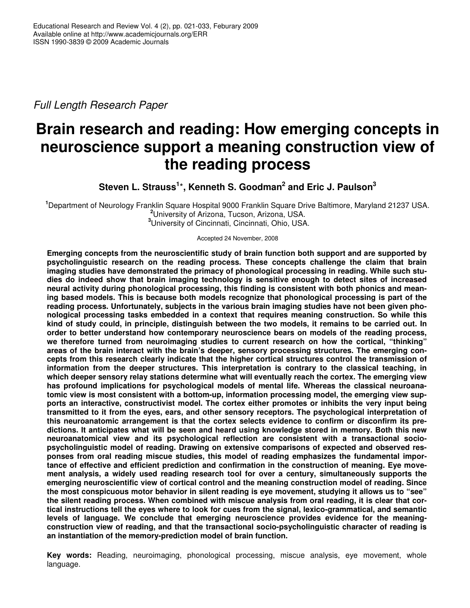*Full Length Research Paper*

# **Brain research and reading: How emerging concepts in neuroscience support a meaning construction view of the reading process**

**Steven L. Strauss 1** \***, Kenneth S. Goodman 2 and Eric J. Paulson 3**

**<sup>1</sup>**Department of Neurology Franklin Square Hospital 9000 Franklin Square Drive Baltimore, Maryland 21237 USA. **<sup>2</sup>**University of Arizona, Tucson, Arizona, USA. **<sup>3</sup>**University of Cincinnati, Cincinnati, Ohio, USA.

Accepted 24 November, 2008

**Emerging concepts from the neuroscientific study of brain function both support and are supported by psycholinguistic research on the reading process. These concepts challenge the claim that brain imaging studies have demonstrated the primacy of phonological processing in reading. While such studies do indeed show that brain imaging technology is sensitive enough to detect sites of increased neural activity during phonological processing, this finding is consistent with both phonics and meaning based models. This is because both models recognize that phonological processing is part of the reading process. Unfortunately, subjects in the various brain imaging studies have not been given phonological processing tasks embedded in a context that requires meaning construction. So while this** kind of study could, in principle, distinguish between the two models, it remains to be carried out. In **order to better understand how contemporary neuroscience bears on models of the reading process, we therefore turned from neuroimaging studies to current research on how the cortical, "thinking" areas of the brain interact with the brain's deeper, sensory processing structures. The emerging concepts from this research clearly indicate that the higher cortical structures control the transmission of information from the deeper structures. This interpretation is contrary to the classical teaching, in which deeper sensory relay stations determine what will eventually reach the cortex. The emerging view has profound implications for psychological models of mental life. Whereas the classical neuroanatomic view is most consistent with a bottom-up, information processing model, the emerging view supports an interactive, constructivist model. The cortex either promotes or inhibits the very input being transmitted to it from the eyes, ears, and other sensory receptors. The psychological interpretation of this neuroanatomic arrangement is that the cortex selects evidence to confirm or disconfirm its predictions. It anticipates what will be seen and heard using knowledge stored in memory. Both this new neuroanatomical view and its psychological reflection are consistent with a transactional sociopsycholinguistic model of reading. Drawing on extensive comparisons of expected and observed responses from oral reading miscue studies, this model of reading emphasizes the fundamental importance of effective and efficient prediction and confirmation in the construction of meaning. Eye movement analysis, a widely used reading research tool for over a century, simultaneously supports the emerging neuroscientific view of cortical control and the meaning construction model of reading. Since the most conspicuous motor behavior in silent reading is eye movement, studying it allows us to "see" the silent reading process. When combined with miscue analysis from oral reading, it is clear that cortical instructions tell the eyes where to look for cues from the signal, lexico-grammatical, and semantic levels of language. We conclude that emerging neuroscience provides evidence for the meaningconstruction view of reading, and that the transactional socio-psycholinguistic character of reading is an instantiation of the memory-prediction model of brain function.**

**Key words:** Reading, neuroimaging, phonological processing, miscue analysis, eye movement, whole language.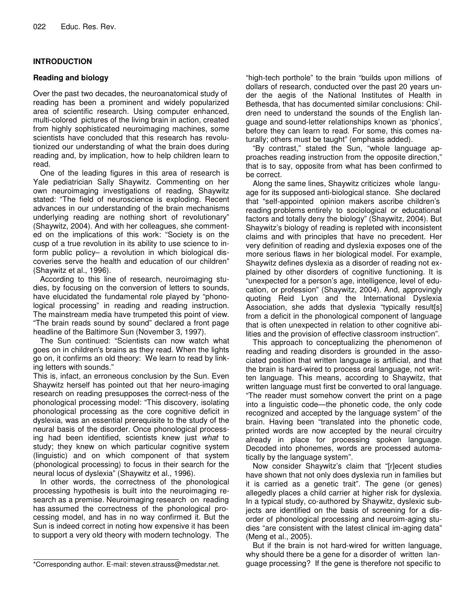# **INTRODUCTION**

# **Reading and biology**

Over the past two decades, the neuroanatomical study of reading has been a prominent and widely popularized area of scientific research. Using computer enhanced, multi-colored pictures of the living brain in action, created from highly sophisticated neuroimaging machines, some scientists have concluded that this research has revolutionized our understanding of what the brain does during reading and, by implication, how to help children learn to read.

One of the leading figures in this area of research is Yale pediatrician Sally Shaywitz. Commenting on her own neuroimaging investigations of reading, Shaywitz stated: "The field of neuroscience is exploding. Recent advances in our understanding of the brain mechanisms underlying reading are nothing short of revolutionary" (Shaywitz, 2004). And with her colleagues, she commented on the implications of this work: "Society is on the cusp of a true revolution in its ability to use science to inform public policy– a revolution in which biological discoveries serve the health and education of our children" (Shaywitz et al., 1996).

According to this line of research, neuroimaging studies, by focusing on the conversion of letters to sounds, have elucidated the fundamental role played by "phonological processing" in reading and reading instruction. The mainstream media have trumpeted this point of view. "The brain reads sound by sound" declared a front page headline of the Baltimore Sun (November 3, 1997).

The Sun continued: "Scientists can now watch what goes on in children's brains as they read. When the lights go on, it confirms an old theory: We learn to read by linking letters with sounds."

This is, infact, an erroneous conclusion by the Sun. Even Shaywitz herself has pointed out that her neuro-imaging research on reading presupposes the correct-ness of the phonological processing model: "This discovery, isolating phonological processing as the core cognitive deficit in dyslexia, was an essential prerequisite to the study of the neural basis of the disorder. Once phonological processing had been identified, scientists knew just *what* to study; they knew on which particular cognitive system (linguistic) and on which component of that system (phonological processing) to focus in their search for the neural locus of dyslexia" (Shaywitz et al., 1996).

In other words, the correctness of the phonological processing hypothesis is built into the neuroimaging research as a premise. Neuroimaging research on reading has assumed the correctness of the phonological processing model, and has in no way confirmed it. But the Sun is indeed correct in noting how expensive it has been to support a very old theory with modern technology. The

"high-tech porthole" to the brain "builds upon millions of dollars of research, conducted over the past 20 years under the aegis of the National Institutes of Health in Bethesda, that has documented similar conclusions: Children need to understand the sounds of the English language and sound-letter relationships known as 'phonics', before they can learn to read. For some, this comes naturally; others must be taught" (emphasis added).

"By contrast," stated the Sun, "whole language approaches reading instruction from the opposite direction," that is to say, opposite from what has been confirmed to be correct.

Along the same lines, Shaywitz criticizes whole language for its supposed anti-biological stance. She declared that "self-appointed opinion makers ascribe children's reading problems entirely to sociological or educational factors and totally deny the biology" (Shaywitz, 2004). But Shaywitz's biology of reading is repleted with inconsistent claims and with principles that have no precedent. Her very definition of reading and dyslexia exposes one of the more serious flaws in her biological model. For example, Shaywitz defines dyslexia as a disorder of reading not explained by other disorders of cognitive functioning. It is "unexpected for a person's age, intelligence, level of education, or profession" (Shaywitz, 2004). And, approvingly quoting Reid Lyon and the International Dyslexia Association, she adds that dyslexia "typically result[s] from a deficit in the phonological component of language that is often unexpected in relation to other cognitive abilities and the provision of effective classroom instruction".

This approach to conceptualizing the phenomenon of reading and reading disorders is grounded in the associated position that written language is artificial, and that the brain is hard-wired to process oral language, not written language. This means, according to Shaywitz, that written language must first be converted to oral language. "The reader must somehow convert the print on a page into a linguistic code—the phonetic code, the only code recognized and accepted by the language system" of the brain. Having been "translated into the phonetic code, printed words are now accepted by the neural circuitry already in place for processing spoken language. Decoded into phonemes, words are processed automatically by the language system".

Now consider Shaywitz's claim that "[r]ecent studies have shown that not only does dyslexia run in families but it is carried as a genetic trait". The gene (or genes) allegedly places a child carrier at higher risk for dyslexia. In a typical study, co-authored by Shaywitz, dyslexic subjects are identified on the basis of screening for a disorder of phonological processing and neuroim-aging studies "are consistent with the latest clinical im-aging data" (Meng et al., 2005).

But if the brain is not hard-wired for written language, why should there be a gene for a disorder of written language processing? If the gene is therefore not specific to

<sup>\*</sup>Corresponding author. E-mail: steven.strauss@medstar.net.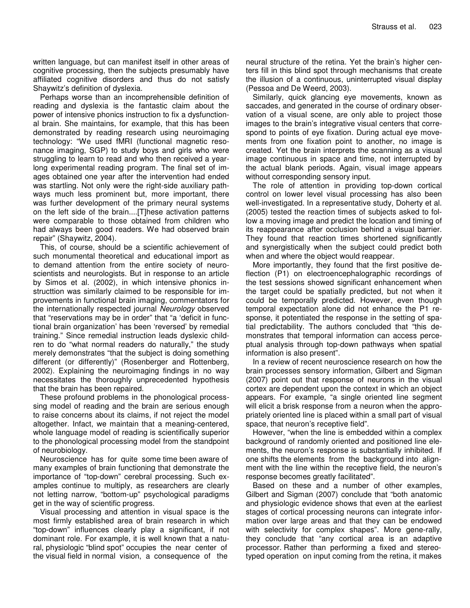written language, but can manifest itself in other areas of cognitive processing, then the subjects presumably have affiliated cognitive disorders and thus do not satisfy Shaywitz's definition of dyslexia.

Perhaps worse than an incomprehensible definition of reading and dyslexia is the fantastic claim about the power of intensive phonics instruction to fix a dysfunctional brain. She maintains, for example, that this has been demonstrated by reading research using neuroimaging technology: "We used fMRI (functional magnetic resonance imaging, SGP) to study boys and girls who were struggling to learn to read and who then received a yearlong experimental reading program. The final set of images obtained one year after the intervention had ended was startling. Not only were the right-side auxiliary pathways much less prominent but, more important, there was further development of the primary neural systems on the left side of the brain....[T]hese activation patterns were comparable to those obtained from children who had always been good readers. We had observed brain repair" (Shaywitz, 2004).

This, of course, should be a scientific achievement of such monumental theoretical and educational import as to demand attention from the entire society of neuroscientists and neurologists. But in response to an article by Simos et al. (2002), in which intensive phonics instructtion was similarly claimed to be responsible for improvements in functional brain imaging, commentators for the internationally respected journal *Neurology* observed that "reservations may be in order" that "a 'deficit in functional brain organization' has been 'reversed' by remedial training." Since remedial instruction leads dyslexic children to do "what normal readers do naturally," the study merely demonstrates "that the subject is doing something different (or differently)" (Rosenberger and Rottenberg, 2002). Explaining the neuroimaging findings in no way necessitates the thoroughly unprecedented hypothesis that the brain has been repaired.

These profound problems in the phonological processsing model of reading and the brain are serious enough to raise concerns about its claims, if not reject the model altogether. Infact, we maintain that a meaning-centered, whole language model of reading is scientifically superior to the phonological processing model from the standpoint of neurobiology.

Neuroscience has for quite some time been aware of many examples of brain functioning that demonstrate the importance of "top-down" cerebral processing. Such examples continue to multiply, as researchers are clearly not letting narrow, "bottom-up" psychological paradigms get in the way of scientific progress.

Visual processing and attention in visual space is the most firmly established area of brain research in which "top-down" influences clearly play a significant, if not dominant role. For example, it is well known that a natural, physiologic "blind spot" occupies the near center of the visual field in normal vision, a consequence of the

neural structure of the retina. Yet the brain's higher centers fill in this blind spot through mechanisms that create the illusion of a continuous, uninterrupted visual display (Pessoa and De Weerd, 2003).

Similarly, quick glancing eye movements, known as saccades, and generated in the course of ordinary observation of a visual scene, are only able to project those images to the brain's integrative visual centers that correspond to points of eye fixation. During actual eye movements from one fixation point to another, no image is created. Yet the brain interprets the scanning as a visual image continuous in space and time, not interrupted by the actual blank periods. Again, visual image appears without corresponding sensory input.

The role of attention in providing top-down cortical control on lower level visual processing has also been well-investigated. In a representative study, Doherty et al. (2005) tested the reaction times of subjects asked to follow a moving image and predict the location and timing of its reappearance after occlusion behind a visual barrier. They found that reaction times shortened significantly and synergistically when the subject could predict both when and where the object would reappear.

More importantly, they found that the first positive deflection (P1) on electroencephalographic recordings of the test sessions showed significant enhancement when the target could be spatially predicted, but not when it could be temporally predicted. However, even though temporal expectation alone did not enhance the P1 response, it potentiated the response in the setting of spatial predictability. The authors concluded that "this demonstrates that temporal information can access perceptual analysis through top-down pathways when spatial information is also present".

In a review of recent neuroscience research on how the brain processes sensory information, Gilbert and Sigman (2007) point out that response of neurons in the visual cortex are dependent upon the context in which an object appears. For example, "a single oriented line segment will elicit a brisk response from a neuron when the appropriately oriented line is placed within a small part of visual space, that neuron's receptive field".

However, "when the line is embedded within a complex background of randomly oriented and positioned line elements, the neuron's response is substantially inhibited. If one shifts the elements from the background into alignment with the line within the receptive field, the neuron's response becomes greatly facilitated".

Based on these and a number of other examples, Gilbert and Sigman (2007) conclude that "both anatomic and physiologic evidence shows that even at the earliest stages of cortical processing neurons can integrate information over large areas and that they can be endowed with selectivity for complex shapes". More gene-rally, they conclude that "any cortical area is an adaptive processor. Rather than performing a fixed and stereotyped operation on input coming from the retina, it makes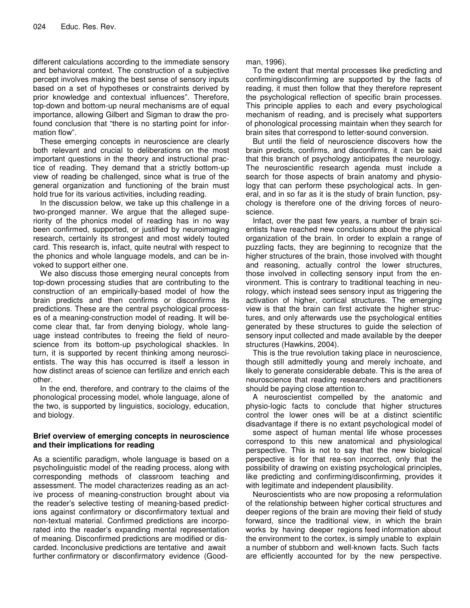different calculations according to the immediate sensory and behavioral context. The construction of a subjective percept involves making the best sense of sensory inputs based on a set of hypotheses or constraints derived by prior knowledge and contextual influences". Therefore, top-down and bottom-up neural mechanisms are of equal importance, allowing Gilbert and Sigman to draw the profound conclusion that "there is no starting point for information flow".

These emerging concepts in neuroscience are clearly both relevant and crucial to deliberations on the most important questions in the theory and instructional practice of reading. They demand that a strictly bottom-up view of reading be challenged, since what is true of the general organization and functioning of the brain must hold true for its various activities, including reading.

In the discussion below, we take up this challenge in a two-pronged manner. We argue that the alleged superiority of the phonics model of reading has in no way been confirmed, supported, or justified by neuroimaging research, certainly its strongest and most widely touted card. This research is, infact, quite neutral with respect to the phonics and whole language models, and can be invoked to support either one.

We also discuss those emerging neural concepts from top-down processing studies that are contributing to the construction of an empirically-based model of how the brain predicts and then confirms or disconfirms its predictions. These are the central psychological processes of a meaning-construction model of reading. It will become clear that, far from denying biology, whole language instead contributes to freeing the field of neuroscience from its bottom-up psychological shackles. In turn, it is supported by recent thinking among neuroscientists. The way this has occurred is itself a lesson in how distinct areas of science can fertilize and enrich each other.

In the end, therefore, and contrary to the claims of the phonological processing model, whole language, alone of the two, is supported by linguistics, sociology, education, and biology.

### **Brief overview of emerging concepts in neuroscience and their implications for reading**

As a scientific paradigm, whole language is based on a psycholinguistic model of the reading process, along with corresponding methods of classroom teaching and assessment. The model characterizes reading as an active process of meaning-construction brought about via the reader's selective testing of meaning-based predictions against confirmatory or disconfirmatory textual and non-textual material. Confirmed predictions are incorporated into the reader's expanding mental representation of meaning. Disconfirmed predictions are modified or discarded. Inconclusive predictions are tentative and await further confirmatory or disconfirmatory evidence (Goodman, 1996).

To the extent that mental processes like predicting and confirming/disconfirming are supported by the facts of reading, it must then follow that they therefore represent the psychological reflection of specific brain processes. This principle applies to each and every psychological mechanism of reading, and is precisely what supporters of phonological processing maintain when they search for brain sites that correspond to letter-sound conversion.

But until the field of neuroscience discovers how the brain predicts, confirms, and disconfirms, it can be said that this branch of psychology anticipates the neurology. The neuroscientific research agenda must include a search for those aspects of brain anatomy and physiology that can perform these psychological acts. In general, and in so far as it is the study of brain function, psychology is therefore one of the driving forces of neuroscience.

Infact, over the past few years, a number of brain scientists have reached new conclusions about the physical organization of the brain. In order to explain a range of puzzling facts, they are beginning to recognize that the higher structures of the brain, those involved with thought and reasoning, actually control the lower structures, those involved in collecting sensory input from the environment. This is contrary to traditional teaching in neurology, which instead sees sensory input as triggering the activation of higher, cortical structures. The emerging view is that the brain can first activate the higher structures, and only afterwards use the psychological entities generated by these structures to guide the selection of sensory input collected and made available by the deeper structures (Hawkins, 2004).

This is the true revolution taking place in neuroscience, though still admittedly young and merely inchoate, and likely to generate considerable debate. This is the area of neuroscience that reading researchers and practitioners should be paying close attention to.

A neuroscientist compelled by the anatomic and physio-logic facts to conclude that higher structures control the lower ones will be at a distinct scientific disadvantage if there is no extant psychological model of

some aspect of human mental life whose processes correspond to this new anatomical and physiological perspective. This is not to say that the new biological perspective is for that rea-son incorrect, only that the possibility of drawing on existing psychological principles, like predicting and confirming/disconfirming, provides it with legitimate and independent plausibility.

Neuroscientists who are now proposing a reformulation of the relationship between higher cortical structures and deeper regions of the brain are moving their field of study forward, since the traditional view, in which the brain works by having deeper regions feed information about the environment to the cortex, is simply unable to explain a number of stubborn and well-known facts. Such facts are efficiently accounted for by the new perspective.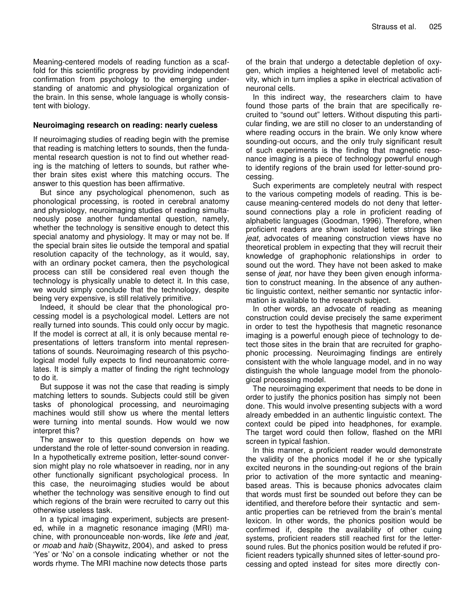Meaning-centered models of reading function as a scaffold for this scientific progress by providing independent confirmation from psychology to the emerging understanding of anatomic and physiological organization of the brain. In this sense, whole language is wholly consistent with biology.

#### **Neuroimaging research on reading: nearly cueless**

If neuroimaging studies of reading begin with the premise that reading is matching letters to sounds, then the fundamental research question is not to find out whether reading is the matching of letters to sounds, but rather whether brain sites exist where this matching occurs. The answer to this question has been affirmative.

But since any psychological phenomenon, such as phonological processing, is rooted in cerebral anatomy and physiology, neuroimaging studies of reading simultaneously pose another fundamental question, namely, whether the technology is sensitive enough to detect this special anatomy and physiology. It may or may not be. If the special brain sites lie outside the temporal and spatial resolution capacity of the technology, as it would, say, with an ordinary pocket camera, then the psychological process can still be considered real even though the technology is physically unable to detect it. In this case, we would simply conclude that the technology, despite being very expensive, is still relatively primitive.

Indeed, it should be clear that the phonological processing model is a psychological model. Letters are not really turned into sounds. This could only occur by magic. If the model is correct at all, it is only because mental representations of letters transform into mental representations of sounds. Neuroimaging research of this psychological model fully expects to find neuroanatomic correlates. It is simply a matter of finding the right technology to do it.

But suppose it was not the case that reading is simply matching letters to sounds. Subjects could still be given tasks of phonological processing, and neuroimaging machines would still show us where the mental letters were turning into mental sounds. How would we now interpret this?

The answer to this question depends on how we understand the role of letter-sound conversion in reading. In a hypothetically extreme position, letter-sound conversion might play no role whatsoever in reading, nor in any other functionally significant psychological process. In this case, the neuroimaging studies would be about whether the technology was sensitive enough to find out which regions of the brain were recruited to carry out this otherwise useless task.

In a typical imaging experiment, subjects are presented, while in a magnetic resonance imaging (MRI) machine, with pronounceable non-words, like *lete* and *jeat*, or *moab* and *haib* (Shaywitz, 2004), and asked to press 'Yes' or 'No' on a console indicating whether or not the words rhyme. The MRI machine now detects those parts

of the brain that undergo a detectable depletion of oxygen, which implies a heightened level of metabolic activity, which in turn implies a spike in electrical activation of neuronal cells.

In this indirect way, the researchers claim to have found those parts of the brain that are specifically recruited to "sound out" letters. Without disputing this particular finding, we are still no closer to an understanding of where reading occurs in the brain. We only know where sounding-out occurs, and the only truly significant result of such experiments is the finding that magnetic resonance imaging is a piece of technology powerful enough to identify regions of the brain used for letter-sound processing.

Such experiments are completely neutral with respect to the various competing models of reading. This is because meaning-centered models do not deny that lettersound connections play a role in proficient reading of alphabetic languages (Goodman, 1996). Therefore, when proficient readers are shown isolated letter strings like *jeat*, advocates of meaning construction views have no theoretical problem in expecting that they will recruit their knowledge of graphophonic relationships in order to sound out the word. They have not been asked to make sense of *jeat,* nor have they been given enough information to construct meaning. In the absence of any authentic linguistic context, neither semantic nor syntactic information is available to the research subject.

In other words, an advocate of reading as meaning construction could devise precisely the same experiment in order to test the hypothesis that magnetic resonance imaging is a powerful enough piece of technology to detect those sites in the brain that are recruited for graphophonic processing. Neuroimaging findings are entirely consistent with the whole language model, and in no way distinguish the whole language model from the phonological processing model.

The neuroimaging experiment that needs to be done in order to justify the phonics position has simply not been done. This would involve presenting subjects with a word already embedded in an authentic linguistic context. The context could be piped into headphones, for example. The target word could then follow, flashed on the MRI screen in typical fashion.

In this manner, a proficient reader would demonstrate the validity of the phonics model if he or she typically excited neurons in the sounding-out regions of the brain prior to activation of the more syntactic and meaningbased areas. This is because phonics advocates claim that words must first be sounded out before they can be identified, and therefore before their syntactic and semantic properties can be retrieved from the brain's mental lexicon. In other words, the phonics position would be confirmed if, despite the availability of other cuing systems, proficient readers still reached first for the lettersound rules. But the phonics position would be refuted if proficient readers typically shunned sites of letter-sound processing and opted instead for sites more directly con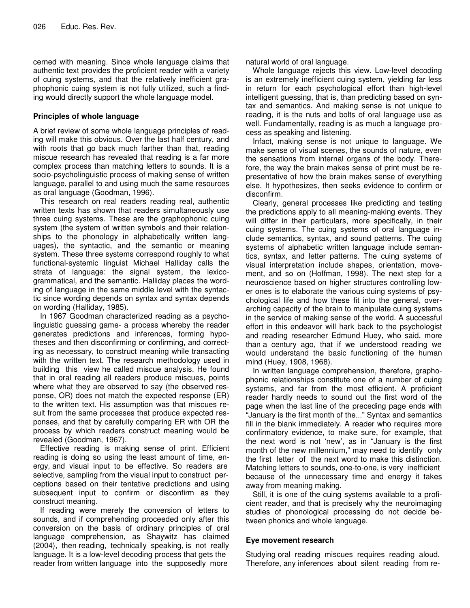cerned with meaning. Since whole language claims that authentic text provides the proficient reader with a variety of cuing systems, and that the relatively inefficient graphophonic cuing system is not fully utilized, such a finding would directly support the whole language model.

# **Principles of whole language**

A brief review of some whole language principles of reading will make this obvious. Over the last half century, and with roots that go back much farther than that, reading miscue research has revealed that reading is a far more complex process than matching letters to sounds. It is a socio-psycholinguistic process of making sense of written language, parallel to and using much the same resources as oral language (Goodman, 1996).

This research on real readers reading real, authentic written texts has shown that readers simultaneously use three cuing systems. These are the graphophonic cuing system (the system of written symbols and their relationships to the phonology in alphabetically written languages), the syntactic, and the semantic or meaning system. These three systems correspond roughly to what functional-systemic linguist Michael Halliday calls the strata of language: the signal system, the lexicogrammatical, and the semantic. Halliday places the wording of language in the same middle level with the syntactic since wording depends on syntax and syntax depends on wording (Halliday, 1985).

In 1967 Goodman characterized reading as a psycholinguistic guessing game- a process whereby the reader generates predictions and inferences, forming hypotheses and then disconfirming or confirming, and correcting as necessary, to construct meaning while transacting with the written text. The research methodology used in building this view he called miscue analysis. He found that in oral reading all readers produce miscues, points where what they are observed to say (the observed response, OR) does not match the expected response (ER) to the written text. His assumption was that miscues result from the same processes that produce expected responses, and that by carefully comparing ER with OR the process by which readers construct meaning would be revealed (Goodman, 1967).

Effective reading is making sense of print. Efficient reading is doing so using the least amount of time, energy, and visual input to be effective. So readers are selective, sampling from the visual input to construct perceptions based on their tentative predictions and using subsequent input to confirm or disconfirm as they construct meaning.

If reading were merely the conversion of letters to sounds, and if comprehending proceeded only after this conversion on the basis of ordinary principles of oral language comprehension, as Shaywitz has claimed (2004), then reading, technically speaking, is not really language. It is a low-level decoding process that gets the reader from written language into the supposedly more

natural world of oral language.

Whole language rejects this view. Low-level decoding is an extremely inefficient cuing system, yielding far less in return for each psychological effort than high-level intelligent guessing, that is, than predicting based on syntax and semantics. And making sense is not unique to reading, it is the nuts and bolts of oral language use as well. Fundamentally, reading is as much a language process as speaking and listening.

Infact, making sense is not unique to language. We make sense of visual scenes, the sounds of nature, even the sensations from internal organs of the body. Therefore, the way the brain makes sense of print must be representative of how the brain makes sense of everything else. It hypothesizes, then seeks evidence to confirm or disconfirm.

Clearly, general processes like predicting and testing the predictions apply to all meaning-making events. They will differ in their particulars, more specifically, in their cuing systems. The cuing systems of oral language include semantics, syntax, and sound patterns. The cuing systems of alphabetic written language include semantics, syntax, and letter patterns. The cuing systems of visual interpretation include shapes, orientation, movement, and so on (Hoffman, 1998). The next step for a neuroscience based on higher structures controlling lower ones is to elaborate the various cuing systems of psychological life and how these fit into the general, overarching capacity of the brain to manipulate cuing systems in the service of making sense of the world. A successful effort in this endeavor will hark back to the psychologist and reading researcher Edmund Huey, who said, more than a century ago, that if we understood reading we would understand the basic functioning of the human mind (Huey, 1908, 1968).

In written language comprehension, therefore, graphophonic relationships constitute one of a number of cuing systems, and far from the most efficient. A proficient reader hardly needs to sound out the first word of the page when the last line of the preceding page ends with "January is the first month of the..." Syntax and semantics fill in the blank immediately. A reader who requires more confirmatory evidence, to make sure, for example, that the next word is not 'new', as in "January is the first month of the new millennium," may need to identify only the first letter of the next word to make this distinction. Matching letters to sounds, one-to-one, is very inefficient because of the unnecessary time and energy it takes away from meaning making.

Still, it is one of the cuing systems available to a proficient reader, and that is precisely why the neuroimaging studies of phonological processing do not decide between phonics and whole language.

### **Eye movement research**

Studying oral reading miscues requires reading aloud. Therefore, any inferences about silent reading from re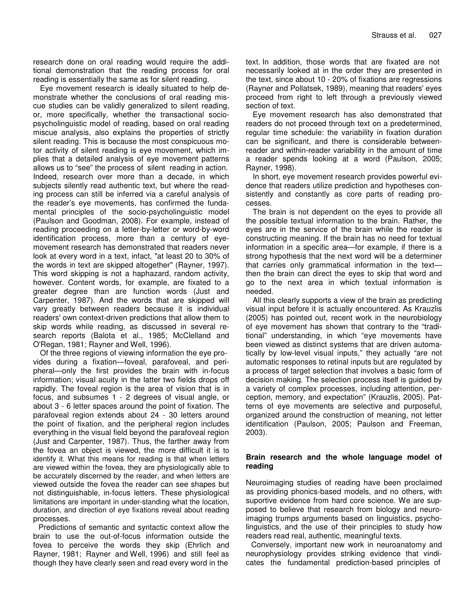research done on oral reading would require the additional demonstration that the reading process for oral reading is essentially the same as for silent reading.

Eye movement research is ideally situated to help demonstrate whether the conclusions of oral reading miscue studies can be validly generalized to silent reading, or, more specifically, whether the transactional sociopsycholinguistic model of reading, based on oral reading miscue analysis, also explains the properties of strictly silent reading. This is because the most conspicuous motor activity of silent reading is eye movement, which implies that a detailed analysis of eye movement patterns allows us to "see" the process of silent reading in action. Indeed, research over more than a decade, in which subjects silently read authentic text, but where the reading process can still be inferred via a careful analysis of the reader's eye movements, has confirmed the fundamental principles of the socio-psycholinguistic model (Paulson and Goodman, 2008). For example, instead of reading proceeding on a letter-by-letter or word-by-word identification process, more than a century of eyemovement research has demonstrated that readers never look at every word in a text, infact, "at least 20 to 30% of the words in text are skipped altogether" (Rayner, 1997). This word skipping is not a haphazard, random activity, however. Content words, for example, are fixated to a greater degree than are function words (Just and Carpenter, 1987). And the words that are skipped will vary greatly between readers because it is individual readers' own context-driven predictions that allow them to skip words while reading, as discussed in several research reports (Balota et al., 1985; McClelland and O'Regan, 1981; Rayner and Well, 1996).

Of the three regions of viewing information the eye provides during a fixation—foveal, parafoveal, and peripheral—only the first provides the brain with in-focus information; visual acuity in the latter two fields drops off rapidly. The foveal region is the area of vision that is in focus, and subsumes 1 - 2 degrees of visual angle, or about 3 - 6 letter spaces around the point of fixation. The parafoveal region extends about 24 - 30 letters around the point of fixation, and the peripheral region includes everything in the visual field beyond the parafoveal region (Just and Carpenter, 1987). Thus, the farther away from the fovea an object is viewed, the more difficult it is to identify it. What this means for reading is that when letters are viewed within the fovea, they are physiologically able to be accurately discerned by the reader, and when letters are viewed outside the fovea the reader can see shapes but not distinguishable, in-focus letters. These physiological limitations are important in under-standing what the location, duration, and direction of eye fixations reveal about reading processes.

Predictions of semantic and syntactic context allow the brain to use the out-of-focus information outside the fovea to perceive the words they skip (Ehrlich and Rayner, 1981; Rayner and Well, 1996) and still feel as though they have clearly seen and read every word in the

text. In addition, those words that are fixated are not necessarily looked at in the order they are presented in the text, since about 10 - 20% of fixations are regressions (Rayner and Pollatsek, 1989), meaning that readers' eyes proceed from right to left through a previously viewed section of text.

Eye movement research has also demonstrated that readers do not proceed through text on a predetermined, regular time schedule: the variability in fixation duration can be significant, and there is considerable betweenreader and within-reader variability in the amount of time a reader spends looking at a word (Paulson, 2005; Rayner, 1998).

In short, eye movement research provides powerful evidence that readers utilize prediction and hypotheses consistently and constantly as core parts of reading processes.

The brain is not dependent on the eyes to provide all the possible textual information to the brain. Rather, the eyes are in the service of the brain while the reader is constructing meaning. If the brain has no need for textual information in a specific area—for example, if there is a strong hypothesis that the next word will be a determiner that carries only grammatical information in the text then the brain can direct the eyes to skip that word and go to the next area in which textual information is needed.

All this clearly supports a view of the brain as predicting visual input before it is actually encountered. As Krauzlis (2005) has pointed out, recent work in the neurobiology of eye movement has shown that contrary to the "traditional" understanding, in which "eye movements have been viewed as distinct systems that are driven automatically by low-level visual inputs," they actually "are not automatic responses to retinal inputs but are regulated by a process of target selection that involves a basic form of decision making. The selection process itself is guided by a variety of complex processes, including attention, perception, memory, and expectation" (Krauzlis, 2005). Patterns of eye movements are selective and purposeful, organized around the construction of meaning, not letter identification (Paulson, 2005; Paulson and Freeman, 2003).

#### **Brain research and the whole language model of reading**

Neuroimaging studies of reading have been proclaimed as providing phonics-based models, and no others, with suportive evidence from hard core science. We are supposed to believe that research from biology and neuroimaging trumps arguments based on linguistics, psycholinguistics, and the use of their principles to study how readers read real, authentic, meaningful texts.

Conversely, important new work in neuroanatomy and neurophysiology provides striking evidence that vindicates the fundamental prediction-based principles of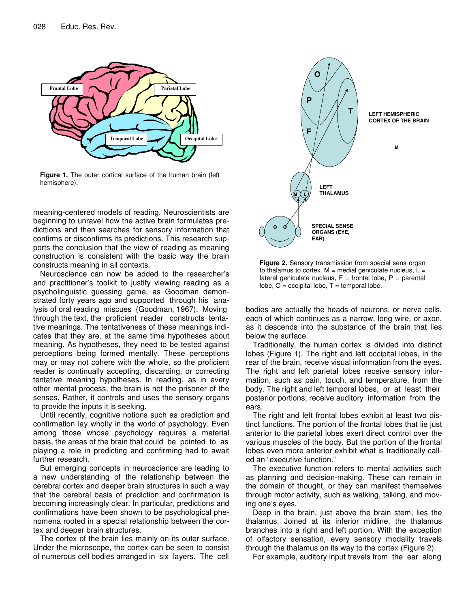

**Figure 1.** The outer cortical surface of the human brain (left hemisphere).

meaning-centered models of reading. Neuroscientists are beginning to unravel how the active brain formulates predicttions and then searches for sensory information that confirms or disconfirms its predictions. This research supports the conclusion that the view of reading as meaning construction is consistent with the basic way the brain constructs meaning in all contexts.

Neuroscience can now be added to the researcher's and practitioner's toolkit to justify viewing reading as a psycholinguistic guessing game, as Goodman demonstrated forty years ago and supported through his analysis of oral reading miscues (Goodman, 1967). Moving through the text, the proficient reader constructs tentative meanings. The tentativeness of these meanings indicates that they are, at the same time hypotheses about meaning. As hypotheses, they need to be tested against perceptions being formed mentally. These perceptions may or may not cohere with the whole, so the proficient reader is continually accepting, discarding, or correcting tentative meaning hypotheses. In reading, as in every other mental process, the brain is not the prisoner of the senses. Rather, it controls and uses the sensory organs to provide the inputs it is seeking.

Until recently, cognitive notions such as prediction and confirmation lay wholly in the world of psychology. Even among those whose psychology requires a material basis, the areas of the brain that could be pointed to as playing a role in predicting and confirming had to await further research.

But emerging concepts in neuroscience are leading to a new understanding of the relationship between the cerebral cortex and deeper brain structures in such a way that the cerebral basis of prediction and confirmation is becoming increasingly clear. In particular, predictions and confirmations have been shown to be psychological phenomena rooted in a special relationship between the cortex and deeper brain structures.

The cortex of the brain lies mainly on its outer surface. Under the microscope, the cortex can be seen to consist of numerous cell bodies arranged in six layers. The cell



**Figure 2.** Sensory transmission from special sens organ to thalamus to cortex.  $M =$  medial geniculate nucleus,  $L =$ lateral geniculate nucleus,  $F =$  frontal lobe,  $P =$  parental  $lobe, O = occipital lobe, T = temporal lobe.$ 

bodies are actually the heads of neurons, or nerve cells, each of which continues as a narrow, long wire, or axon, as it descends into the substance of the brain that lies below the surface.

Traditionally, the human cortex is divided into distinct lobes (Figure 1). The right and left occipital lobes, in the rear of the brain, receive visual information from the eyes. The right and left parietal lobes receive sensory information, such as pain, touch, and temperature, from the body. The right and left temporal lobes, or at least their posterior portions, receive auditory information from the ears.

The right and left frontal lobes exhibit at least two distinct functions. The portion of the frontal lobes that lie just anterior to the parietal lobes exert direct control over the various muscles of the body. But the portion of the frontal lobes even more anterior exhibit what is traditionally called an "executive function."

The executive function refers to mental activities such as planning and decision-making. These can remain in the domain of thought, or they can manifest themselves through motor activity, such as walking, talking, and moving one's eyes.

Deep in the brain, just above the brain stem, lies the thalamus. Joined at its inferior midline, the thalamus branches into a right and left portion. With the exception of olfactory sensation, every sensory modality travels through the thalamus on its way to the cortex (Figure 2).

For example, auditory input travels from the ear along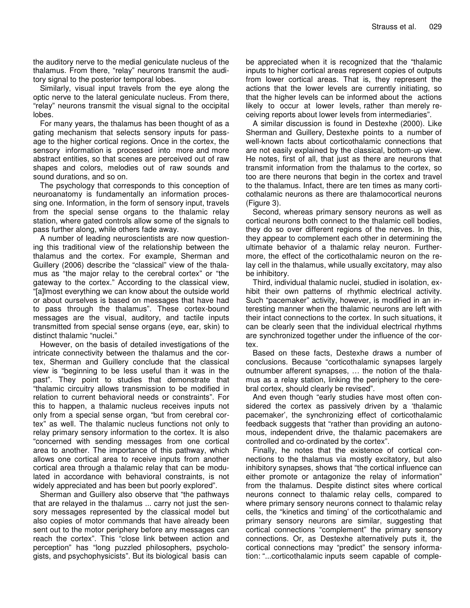the auditory nerve to the medial geniculate nucleus of the thalamus. From there, "relay" neurons transmit the auditory signal to the posterior temporal lobes.

Similarly, visual input travels from the eye along the optic nerve to the lateral geniculate nucleus. From there, "relay" neurons transmit the visual signal to the occipital lobes.

For many years, the thalamus has been thought of as a gating mechanism that selects sensory inputs for passage to the higher cortical regions. Once in the cortex, the sensory information is processed into more and more abstract entities, so that scenes are perceived out of raw shapes and colors, melodies out of raw sounds and sound durations, and so on.

The psychology that corresponds to this conception of neuroanatomy is fundamentally an information processing one. Information, in the form of sensory input, travels from the special sense organs to the thalamic relay station, where gated controls allow some of the signals to pass further along, while others fade away.

A number of leading neuroscientists are now questioning this traditional view of the relationship between the thalamus and the cortex. For example, Sherman and Guillery (2006) describe the "classical" view of the thalamus as "the major relay to the cerebral cortex" or "the gateway to the cortex." According to the classical view, "[a]lmost everything we can know about the outside world or about ourselves is based on messages that have had to pass through the thalamus". These cortex-bound messages are the visual, auditory, and tactile inputs transmitted from special sense organs (eye, ear, skin) to distinct thalamic "nuclei."

However, on the basis of detailed investigations of the intricate connectivity between the thalamus and the cortex, Sherman and Guillery conclude that the classical view is "beginning to be less useful than it was in the past". They point to studies that demonstrate that "thalamic circuitry allows transmission to be modified in relation to current behavioral needs or constraints". For this to happen, a thalamic nucleus receives inputs not only from a special sense organ, "but from cerebral cortex" as well. The thalamic nucleus functions not only to relay primary sensory information to the cortex. It is also "concerned with sending messages from one cortical area to another. The importance of this pathway, which allows one cortical area to receive inputs from another cortical area through a thalamic relay that can be modulated in accordance with behavioral constraints, is not widely appreciated and has been but poorly explored".

Sherman and Guillery also observe that "the pathways that are relayed in the thalamus ... carry not just the sensory messages represented by the classical model but also copies of motor commands that have already been sent out to the motor periphery before any messages can reach the cortex". This "close link between action and perception" has "long puzzled philosophers, psychologists, and psychophysicists". But its biological basis can

be appreciated when it is recognized that the "thalamic inputs to higher cortical areas represent copies of outputs from lower cortical areas. That is, they represent the actions that the lower levels are currently initiating, so that the higher levels can be informed about the actions likely to occur at lower levels, rather than merely receiving reports about lower levels from intermediaries".

A similar discussion is found in Destexhe (2000). Like Sherman and Guillery, Destexhe points to a number of well-known facts about corticothalamic connections that are not easily explained by the classical, bottom-up view. He notes, first of all, that just as there are neurons that transmit information from the thalamus to the cortex, so too are there neurons that begin in the cortex and travel to the thalamus. Infact, there are ten times as many corticothalamic neurons as there are thalamocortical neurons (Figure 3).

Second, whereas primary sensory neurons as well as cortical neurons both connect to the thalamic cell bodies, they do so over different regions of the nerves. In this, they appear to complement each other in determining the ultimate behavior of a thalamic relay neuron. Furthermore, the effect of the corticothalamic neuron on the relay cell in the thalamus, while usually excitatory, may also be inhibitory.

Third, individual thalamic nuclei, studied in isolation, exhibit their own patterns of rhythmic electrical activity. Such "pacemaker" activity, however, is modified in an interesting manner when the thalamic neurons are left with their intact connections to the cortex. In such situations, it can be clearly seen that the individual electrical rhythms are synchronized together under the influence of the cortex.

Based on these facts, Destexhe draws a number of conclusions. Because "corticothalamic synapses largely outnumber afferent synapses, … the notion of the thalamus as a relay station, linking the periphery to the cerebral cortex, should clearly be revised".

And even though "early studies have most often considered the cortex as passively driven by a 'thalamic pacemaker', the synchronizing effect of corticothalamic feedback suggests that "rather than providing an autonomous, independent drive, the thalamic pacemakers are controlled and co-ordinated by the cortex".

Finally, he notes that the existence of cortical connections to the thalamus via mostly excitatory, but also inhibitory synapses, shows that "the cortical influence can either promote or antagonize the relay of information" from the thalamus. Despite distinct sites where cortical neurons connect to thalamic relay cells, compared to where primary sensory neurons connect to thalamic relay cells, the "kinetics and timing' of the corticothalamic and primary sensory neurons are similar, suggesting that cortical connections "complement" the primary sensory connections. Or, as Destexhe alternatively puts it, the cortical connections may "predict" the sensory information: "...corticothalamic inputs seem capable of comple-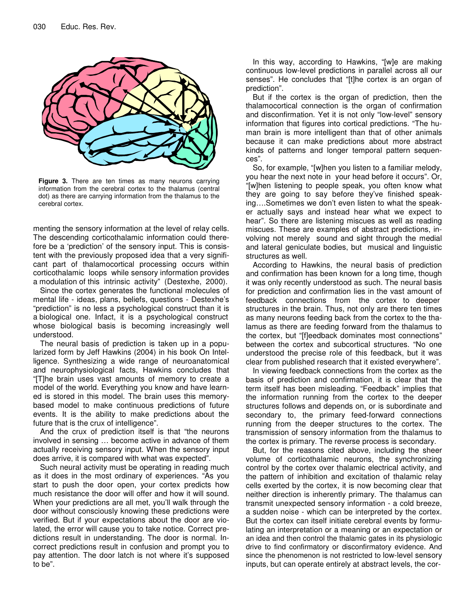

**Figure 3.** There are ten times as many neurons carrying information from the cerebral cortex to the thalamus (central dot) as there are carrying information from the thalamus to the cerebral cortex.

menting the sensory information at the level of relay cells. The descending corticothalamic information could therefore be a 'prediction' of the sensory input. This is consistent with the previously proposed idea that a very significant part of thalamocortical processing occurs within corticothalamic loops while sensory information provides a modulation of this intrinsic activity" (Destexhe, 2000).

Since the cortex generates the functional molecules of mental life - ideas, plans, beliefs, questions - Destexhe's "prediction" is no less a psychological construct than it is a biological one. Infact, it is a psychological construct whose biological basis is becoming increasingly well understood.

The neural basis of prediction is taken up in a popularized form by Jeff Hawkins (2004) in his book On Intelligence. Synthesizing a wide range of neuroanatomical and neurophysiological facts, Hawkins concludes that "[T]he brain uses vast amounts of memory to create a model of the world. Everything you know and have learned is stored in this model. The brain uses this memorybased model to make continuous predictions of future events. It is the ability to make predictions about the future that is the crux of intelligence".

And the crux of prediction itself is that "the neurons involved in sensing … become active in advance of them actually receiving sensory input. When the sensory input does arrive, it is compared with what was expected".

Such neural activity must be operating in reading much as it does in the most ordinary of experiences. "As you start to push the door open, your cortex predicts how much resistance the door will offer and how it will sound. When your predictions are all met, you'll walk through the door without consciously knowing these predictions were verified. But if your expectations about the door are violated, the error will cause you to take notice. Correct predictions result in understanding. The door is normal. Incorrect predictions result in confusion and prompt you to pay attention. The door latch is not where it's supposed to be".

In this way, according to Hawkins, "[w]e are making continuous low-level predictions in parallel across all our senses". He concludes that "[t]he cortex is an organ of prediction".

But if the cortex is the organ of prediction, then the thalamocortical connection is the organ of confirmation and disconfirmation. Yet it is not only "low-level" sensory information that figures into cortical predictions. "The human brain is more intelligent than that of other animals because it can make predictions about more abstract kinds of patterns and longer temporal pattern sequences".

So, for example, "[w]hen you listen to a familiar melody, you hear the next note in your head before it occurs". Or, "[w]hen listening to people speak, you often know what they are going to say before they've finished speaking….Sometimes we don't even listen to what the speaker actually says and instead hear what we expect to hear". So there are listening miscues as well as reading miscues. These are examples of abstract predictions, involving not merely sound and sight through the medial and lateral geniculate bodies, but musical and linguistic structures as well.

According to Hawkins, the neural basis of prediction and confirmation has been known for a long time, though it was only recently understood as such. The neural basis for prediction and confirmation lies in the vast amount of feedback connections from the cortex to deeper structures in the brain. Thus, not only are there ten times as many neurons feeding back from the cortex to the thalamus as there are feeding forward from the thalamus to the cortex, but "[f]eedback dominates most connections" between the cortex and subcortical structures. "No one understood the precise role of this feedback, but it was clear from published research that it existed everywhere".

In viewing feedback connections from the cortex as the basis of prediction and confirmation, it is clear that the term itself has been misleading. "Feedback" implies that the information running from the cortex to the deeper structures follows and depends on, or is subordinate and secondary to, the primary feed-forward connections running from the deeper structures to the cortex. The transmission of sensory information from the thalamus to the cortex is primary. The reverse process is secondary.

But, for the reasons cited above, including the sheer volume of corticothalamic neurons, the synchronizing control by the cortex over thalamic electrical activity, and the pattern of inhibition and excitation of thalamic relay cells exerted by the cortex, it is now becoming clear that neither direction is inherently primary. The thalamus can transmit unexpected sensory information - a cold breeze, a sudden noise - which can be interpreted by the cortex. But the cortex can itself initiate cerebral events by formulating an interpretation or a meaning or an expectation or an idea and then control the thalamic gates in its physiologic drive to find confirmatory or disconfirmatory evidence. And since the phenomenon is not restricted to low-level sensory inputs, but can operate entirely at abstract levels, the cor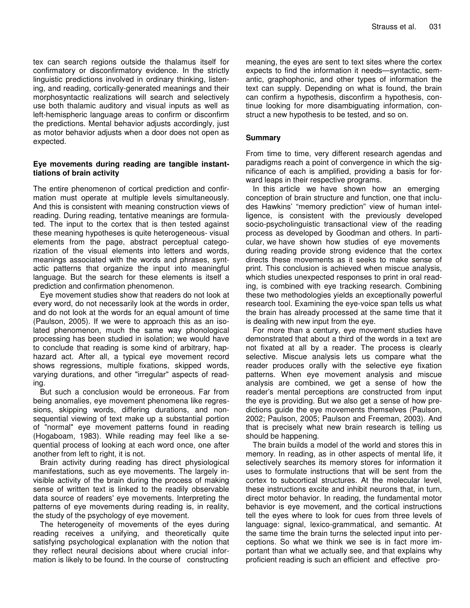tex can search regions outside the thalamus itself for confirmatory or disconfirmatory evidence. In the strictly linguistic predictions involved in ordinary thinking, listening, and reading, cortically-generated meanings and their morphosyntactic realizations will search and selectively use both thalamic auditory and visual inputs as well as left-hemispheric language areas to confirm or disconfirm the predictions. Mental behavior adjusts accordingly, just as motor behavior adjusts when a door does not open as expected.

#### **Eye movements during reading are tangible instanttiations of brain activity**

The entire phenomenon of cortical prediction and confirmation must operate at multiple levels simultaneously. And this is consistent with meaning construction views of reading. During reading, tentative meanings are formulated. The input to the cortex that is then tested against these meaning hypotheses is quite heterogeneous- visual elements from the page, abstract perceptual categorization of the visual elements into letters and words, meanings associated with the words and phrases, syntactic patterns that organize the input into meaningful language. But the search for these elements is itself a prediction and confirmation phenomenon.

Eye movement studies show that readers do not look at every word, do not necessarily look at the words in order, and do not look at the words for an equal amount of time (Paulson, 2005). If we were to approach this as an isolated phenomenon, much the same way phonological processing has been studied in isolation; we would have to conclude that reading is some kind of arbitrary, haphazard act. After all, a typical eye movement record shows regressions, multiple fixations, skipped words, varying durations, and other "irregular" aspects of reading.

But such a conclusion would be erroneous. Far from being anomalies, eye movement phenomena like regressions, skipping words, differing durations, and nonsequential viewing of text make up a substantial portion of "normal" eye movement patterns found in reading (Hogaboam, 1983). While reading may feel like a sequential process of looking at each word once, one after another from left to right, it is not.

Brain activity during reading has direct physiological manifestations, such as eye movements. The largely invisible activity of the brain during the process of making sense of written text is linked to the readily observable data source of readers' eye movements. Interpreting the patterns of eye movements during reading is, in reality, the study of the psychology of eye movement.

The heterogeneity of movements of the eyes during reading receives a unifying, and theoretically quite satisfying psychological explanation with the notion that they reflect neural decisions about where crucial information is likely to be found. In the course of constructing

meaning, the eyes are sent to text sites where the cortex expects to find the information it needs—syntactic, semantic, graphophonic, and other types of information the text can supply. Depending on what is found, the brain can confirm a hypothesis, disconfirm a hypothesis, continue looking for more disambiguating information, construct a new hypothesis to be tested, and so on.

## **Summary**

From time to time, very different research agendas and paradigms reach a point of convergence in which the significance of each is amplified, providing a basis for forward leaps in their respective programs.

In this article we have shown how an emerging conception of brain structure and function, one that includes Hawkins' "memory prediction" view of human intelligence, is consistent with the previously developed socio-psycholinguistic transactional view of the reading process as developed by Goodman and others. In particular, we have shown how studies of eye movements during reading provide strong evidence that the cortex directs these movements as it seeks to make sense of print. This conclusion is achieved when miscue analysis, which studies unexpected responses to print in oral reading, is combined with eye tracking research. Combining these two methodologies yields an exceptionally powerful research tool. Examining the eye-voice span tells us what the brain has already processed at the same time that it is dealing with new input from the eye.

For more than a century, eye movement studies have demonstrated that about a third of the words in a text are not fixated at all by a reader. The process is clearly selective. Miscue analysis lets us compare what the reader produces orally with the selective eye fixation patterns. When eye movement analysis and miscue analysis are combined, we get a sense of how the reader's mental perceptions are constructed from input the eye is providing. But we also get a sense of how predictions guide the eye movements themselves (Paulson, 2002; Paulson, 2005; Paulson and Freeman, 2003). And that is precisely what new brain research is telling us should be happening.

The brain builds a model of the world and stores this in memory. In reading, as in other aspects of mental life, it selectively searches its memory stores for information it uses to formulate instructions that will be sent from the cortex to subcortical structures. At the molecular level, these instructions excite and inhibit neurons that, in turn, direct motor behavior. In reading, the fundamental motor behavior is eye movement, and the cortical instructions tell the eyes where to look for cues from three levels of language: signal, lexico-grammatical, and semantic. At the same time the brain turns the selected input into perceptions. So what we think we see is in fact more important than what we actually see, and that explains why proficient reading is such an efficient and effective pro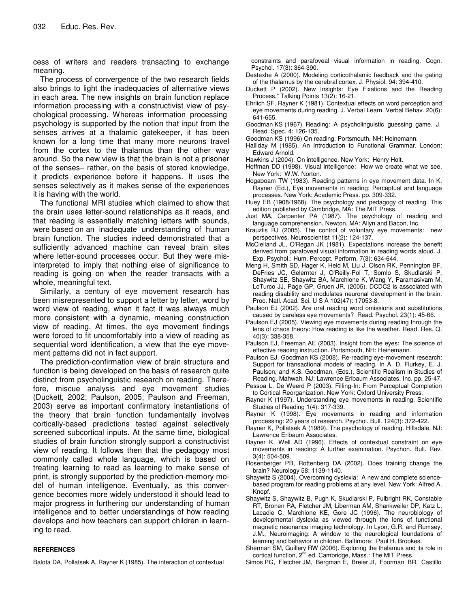cess of writers and readers transacting to exchange meaning.

The process of convergence of the two research fields also brings to light the inadequacies of alternative views in each area. The new insights on brain function replace information processing with a constructivist view of psychological processing. Whereas information processing psychology is supported by the notion that input from the senses arrives at a thalamic gatekeeper, it has been known for a long time that many more neurons travel from the cortex to the thalamus than the other way around. So the new view is that the brain is not a prisoner of the senses– rather, on the basis of stored knowledge, it predicts experience before it happens. It uses the senses selectively as it makes sense of the experiences it is having with the world.

The functional MRI studies which claimed to show that the brain uses letter-sound relationships as it reads, and that reading is essentially matching letters with sounds, were based on an inadequate understanding of human brain function. The studies indeed demonstrated that a sufficiently advanced machine can reveal brain sites where letter-sound processes occur. But they were misinterpreted to imply that nothing else of significance to reading is going on when the reader transacts with a whole, meaningful text.

Similarly, a century of eye movement research has been misrepresented to support a letter by letter, word by word view of reading, when it fact it was always much more consistent with a dynamic, meaning construction view of reading. At times, the eye movement findings were forced to fit uncomfortably into a view of reading as sequential word identification, a view that the eye movement patterns did not in fact support.

The prediction-confirmation view of brain structure and function is being developed on the basis of research quite distinct from psycholinguistic research on reading. Therefore, miscue analysis and eye movement studies (Duckett, 2002; Paulson, 2005; Paulson and Freeman, 2003) serve as important confirmatory instantiations of the theory that brain function fundamentally involves cortically-based predictions tested against selectively screened subcortical inputs. At the same time, biological studies of brain function strongly support a constructivist view of reading. It follows then that the pedagogy most commonly called whole language, which is based on treating learning to read as learning to make sense of print, is strongly supported by the prediction-memory model of human intelligence. Eventually, as this convergence becomes more widely understood it should lead to major progress in furthering our understanding of human intelligence and to better understandings of how reading develops and how teachers can support children in learning to read.

#### **REFERENCES**

Balota DA, Pollatsek A, Rayner K (1985). The interaction of contextual

constraints and parafoveal visual information in reading. Cogn. Psychol. 17(3): 364-390.

- Destexhe A (2000). Modeling corticothalamic feedback and the gating of the thalamus by the cerebral cortex. J. Physiol. 94: 394-410.
- Duckett P (2002). New Insights: Eye Fixations and the Reading Process." Talking Points 13(2): 16-21.
- Ehrlich SF, Rayner K (1981). Contextual effects on word perception and eye movements during reading. J. Verbal Learn. Verbal Behav. 20(6): 641-655.
- Goodman KS (1967). Reading: A psycholinguistic guessing game. J. Read. Spec. 4: 126-135.
- Goodman KS (1996) On reading*.* Portsmouth, NH: Heinemann.
- Halliday M (1985). An Introduction to Functional Grammar. London: Edward Arnold.
- Hawkins J (2004). On intelligence*.* New York: Henry Holt.
- Hoffman DD (1998). Visual intelligence: How we create what we see*.* New York: W.W. Norton.
- Hogaboam TW (1983). Reading patterns in eye movement data. In K. Rayner (Ed.), Eye movements in reading: Perceptual and language processes. New York: Academic Press. pp. 309-332.
- Huey EB (1908/1968). The psychology and pedagogy of reading. This edition published by Cambridge, MA: The MIT Press.
- Just MA, Carpenter PA (1987). The psychology of reading and language comprehension. Newton, MA: Allyn and Bacon, Inc.
- Krauzlis RJ (2005). The control of voluntary eye movements: new perspectives. Neuroscientist 11(2): 124-137.
- McClelland JL, O'Regan JK (1981). Expectations increase the benefit derived from parafoveal visual information in reading words aloud. J. Exp. Psychol.: Hum. Percept. Perform. 7(3): 634-644.
- Meng H, Smith SD, Hager K, Held M, Liu J, Olson RK, Pennington BF, DeFries JC, Gelernter J, O'Reilly-Pol T, Somlo S, Skudlarski P, Shaywitz SE, Shaywitz BA, Marchione K, Wang Y, Paramasivam M, LoTurco JJ, Page GP, Gruen JR. (2005). DCDC2 is associated with reading disability and modulates neuronal development in the brain. Proc. Natl. Acad. Sci. U S A 102(47): 17053-8.
- Paulson EJ (2002). Are oral reading word omissions and substitutions caused by careless eye movements? Read. Psychol. 23(1): 45-66.
- Paulson EJ (2005). Viewing eye movements during reading through the lens of chaos theory: How reading is like the weather. Read. Res. Q. 40(3): 338-358*.*
- Paulson EJ, Freeman AE (2003). Insight from the eyes: The science of effective reading instruction*.* Portsmouth, NH: Heinemann.
- Paulson EJ, Goodman KS (2008). Re-reading eye-movement research: Support for transactional models of reading. In A. D. Flurkey, E. J. Paulson, and K.S. Goodman, (Eds.), Scientific Realism in Studies of Reading. Mahwah, NJ: Lawrence Erlbaum Associates, Inc. pp. 25-47.
- Pessoa L, De Weerd P (2003). Filling-In: From Perceptual Completion to Cortical Reorganization. New York: Oxford University Press.
- Rayner K (1997). Understanding eye movements in reading. Scientific Studies of Reading 1(4): 317-339.
- Rayner K (1998). Eye movements in reading and information processing: 20 years of research. Psychol. Bull. 124(3): 372-422.
- Rayner K, Pollatsek A (1989). The psychology of reading*.* Hillsdale, NJ: Lawrence Erlbaum Associates.
- Rayner K, Well AD (1996). Effects of contextual constraint on eye movements in reading: A further examination. Psychon. Bull. Rev. 3(4): 504-509.
- Rosenberger PB, Rottenberg DA (2002). Does training change the brain? Neurology 58: 1139-1140.
- Shaywitz S (2004). Overcoming dyslexia: A new and complete sciencebased program for reading problems at any level*.* New York: Alfred A. Knopf.
- Shaywitz S, Shaywitz B, Pugh K, Skudlarski P, Fulbright RK, Constable RT, Bronen RA, Fletcher JM, Liberman AM, Shankweiler DP, Katz L, Lacadie C, Marchione KE, Gore JC (1996). The neurobiology of developmental dyslexia as viewed through the lens of functional magnetic resonance imaging technology. In Lyon, G.R. and Rumsey, J.M., Neuroimaging: A window to the neurological foundations of learning and behavior in children*.* Baltimore: Paul H. Brookes.
- Sherman SM, Guillery RW (2006). Exploring the thalamus and its role in cortical function, 2<sup>nd</sup> ed. Cambridge, Mass.: The MIT Press.
- Simos PG, Fletcher JM, Bergman E, Breier JI, Foorman BR, Castillo